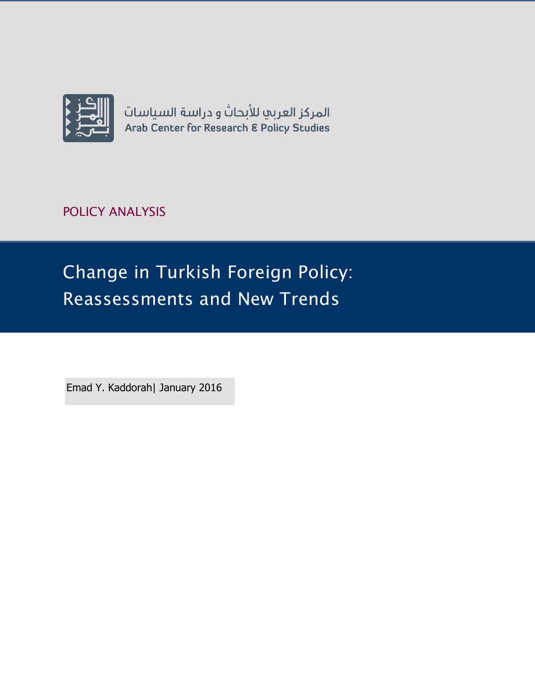

POLICY ANALYSIS

Change in Turkish Foreign Policy: Reassessments and New Trends

Emad Y. Kaddorah| January 2016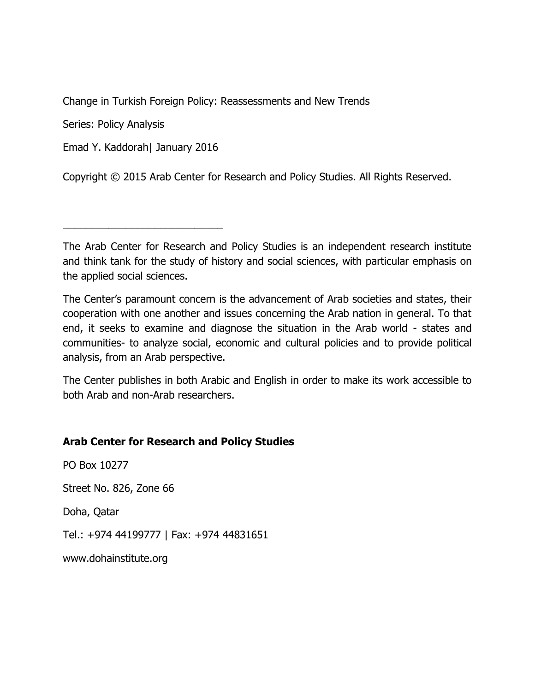Change in Turkish Foreign Policy: Reassessments and New Trends

Series: Policy Analysis

Emad Y. Kaddorah| January 2016

\_\_\_\_\_\_\_\_\_\_\_\_\_\_\_\_\_\_\_\_\_\_\_\_\_\_\_\_

Copyright © 2015 Arab Center for Research and Policy Studies. All Rights Reserved.

The Arab Center for Research and Policy Studies is an independent research institute and think tank for the study of history and social sciences, with particular emphasis on the applied social sciences.

The Center's paramount concern is the advancement of Arab societies and states, their cooperation with one another and issues concerning the Arab nation in general. To that end, it seeks to examine and diagnose the situation in the Arab world - states and communities- to analyze social, economic and cultural policies and to provide political analysis, from an Arab perspective.

The Center publishes in both Arabic and English in order to make its work accessible to both Arab and non-Arab researchers.

## **Arab Center for Research and Policy Studies**

PO Box 10277 Street No. 826, Zone 66

Doha, Qatar

Tel.: +974 44199777 | Fax: +974 44831651

[www.dohainstitute.org](file:///C:/Users/dena.qaddumi/Desktop/www.dohainstitute.org)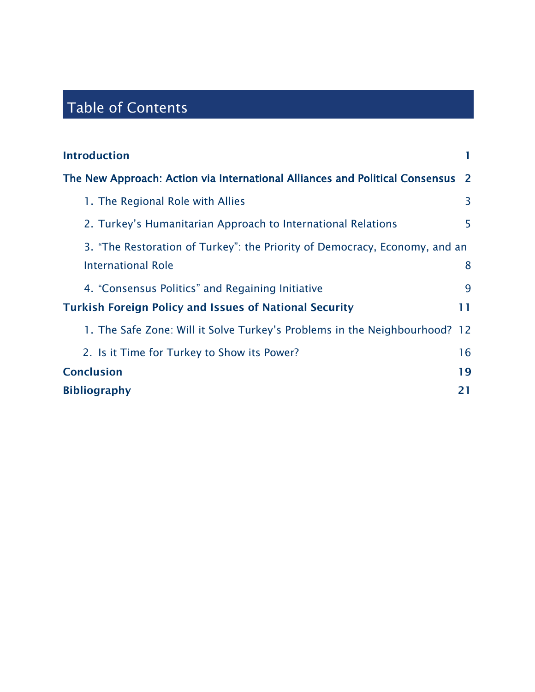# Table of Contents

| <b>Introduction</b>                                                          |          |
|------------------------------------------------------------------------------|----------|
| The New Approach: Action via International Alliances and Political Consensus | <b>2</b> |
| 1. The Regional Role with Allies                                             | 3        |
| 2. Turkey's Humanitarian Approach to International Relations                 | 5        |
| 3. "The Restoration of Turkey": the Priority of Democracy, Economy, and an   |          |
| <b>International Role</b>                                                    | 8        |
| 4. "Consensus Politics" and Regaining Initiative                             | 9        |
| <b>Turkish Foreign Policy and Issues of National Security</b>                | 11       |
| 1. The Safe Zone: Will it Solve Turkey's Problems in the Neighbourhood? 12   |          |
| 2. Is it Time for Turkey to Show its Power?                                  | 16       |
| <b>Conclusion</b>                                                            | 19       |
| <b>Bibliography</b>                                                          | 21       |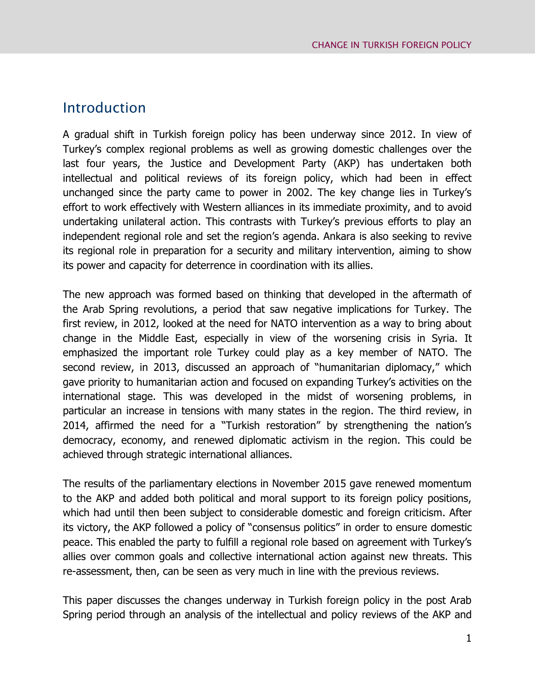# <span id="page-4-0"></span>Introduction

A gradual shift in Turkish foreign policy has been underway since 2012. In view of Turkey's complex regional problems as well as growing domestic challenges over the last four years, the Justice and Development Party (AKP) has undertaken both intellectual and political reviews of its foreign policy, which had been in effect unchanged since the party came to power in 2002. The key change lies in Turkey's effort to work effectively with Western alliances in its immediate proximity, and to avoid undertaking unilateral action. This contrasts with Turkey's previous efforts to play an independent regional role and set the region's agenda. Ankara is also seeking to revive its regional role in preparation for a security and military intervention, aiming to show its power and capacity for deterrence in coordination with its allies.

The new approach was formed based on thinking that developed in the aftermath of the Arab Spring revolutions, a period that saw negative implications for Turkey. The first review, in 2012, looked at the need for NATO intervention as a way to bring about change in the Middle East, especially in view of the worsening crisis in Syria. It emphasized the important role Turkey could play as a key member of NATO. The second review, in 2013, discussed an approach of "humanitarian diplomacy," which gave priority to humanitarian action and focused on expanding Turkey's activities on the international stage. This was developed in the midst of worsening problems, in particular an increase in tensions with many states in the region. The third review, in 2014, affirmed the need for a "Turkish restoration" by strengthening the nation's democracy, economy, and renewed diplomatic activism in the region. This could be achieved through strategic international alliances.

The results of the parliamentary elections in November 2015 gave renewed momentum to the AKP and added both political and moral support to its foreign policy positions, which had until then been subject to considerable domestic and foreign criticism. After its victory, the AKP followed a policy of "consensus politics" in order to ensure domestic peace. This enabled the party to fulfill a regional role based on agreement with Turkey's allies over common goals and collective international action against new threats. This re-assessment, then, can be seen as very much in line with the previous reviews.

This paper discusses the changes underway in Turkish foreign policy in the post Arab Spring period through an analysis of the intellectual and policy reviews of the AKP and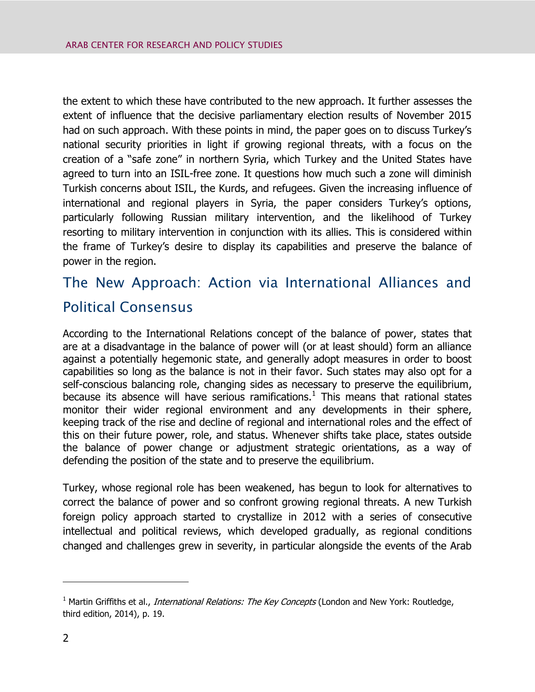the extent to which these have contributed to the new approach. It further assesses the extent of influence that the decisive parliamentary election results of November 2015 had on such approach. With these points in mind, the paper goes on to discuss Turkey's national security priorities in light if growing regional threats, with a focus on the creation of a "safe zone" in northern Syria, which Turkey and the United States have agreed to turn into an ISIL-free zone. It questions how much such a zone will diminish Turkish concerns about ISIL, the Kurds, and refugees. Given the increasing influence of international and regional players in Syria, the paper considers Turkey's options, particularly following Russian military intervention, and the likelihood of Turkey resorting to military intervention in conjunction with its allies. This is considered within the frame of Turkey's desire to display its capabilities and preserve the balance of power in the region.

# <span id="page-5-0"></span>The New Approach: Action via International Alliances and Political Consensus

According to the International Relations concept of the balance of power, states that are at a disadvantage in the balance of power will (or at least should) form an alliance against a potentially hegemonic state, and generally adopt measures in order to boost capabilities so long as the balance is not in their favor. Such states may also opt for a self-conscious balancing role, changing sides as necessary to preserve the equilibrium, because its absence will have serious ramifications. $<sup>1</sup>$  This means that rational states</sup> monitor their wider regional environment and any developments in their sphere, keeping track of the rise and decline of regional and international roles and the effect of this on their future power, role, and status. Whenever shifts take place, states outside the balance of power change or adjustment strategic orientations, as a way of defending the position of the state and to preserve the equilibrium.

Turkey, whose regional role has been weakened, has begun to look for alternatives to correct the balance of power and so confront growing regional threats. A new Turkish foreign policy approach started to crystallize in 2012 with a series of consecutive intellectual and political reviews, which developed gradually, as regional conditions changed and challenges grew in severity, in particular alongside the events of the Arab

<sup>&</sup>lt;sup>1</sup> Martin Griffiths et al., *International Relations: The Key Concepts* (London and New York: Routledge, third edition, 2014), p. 19.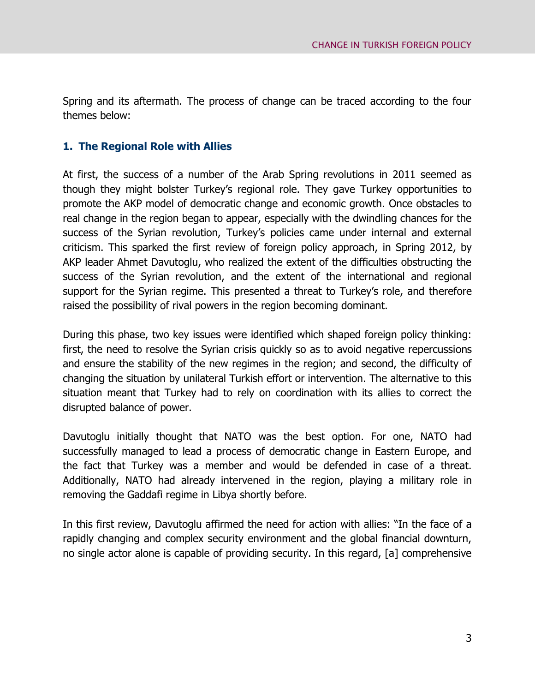Spring and its aftermath. The process of change can be traced according to the four themes below:

### <span id="page-6-0"></span>**1. The Regional Role with Allies**

At first, the success of a number of the Arab Spring revolutions in 2011 seemed as though they might bolster Turkey's regional role. They gave Turkey opportunities to promote the AKP model of democratic change and economic growth. Once obstacles to real change in the region began to appear, especially with the dwindling chances for the success of the Syrian revolution, Turkey's policies came under internal and external criticism. This sparked the first review of foreign policy approach, in Spring 2012, by AKP leader Ahmet Davutoglu, who realized the extent of the difficulties obstructing the success of the Syrian revolution, and the extent of the international and regional support for the Syrian regime. This presented a threat to Turkey's role, and therefore raised the possibility of rival powers in the region becoming dominant.

During this phase, two key issues were identified which shaped foreign policy thinking: first, the need to resolve the Syrian crisis quickly so as to avoid negative repercussions and ensure the stability of the new regimes in the region; and second, the difficulty of changing the situation by unilateral Turkish effort or intervention. The alternative to this situation meant that Turkey had to rely on coordination with its allies to correct the disrupted balance of power.

Davutoglu initially thought that NATO was the best option. For one, NATO had successfully managed to lead a process of democratic change in Eastern Europe, and the fact that Turkey was a member and would be defended in case of a threat. Additionally, NATO had already intervened in the region, playing a military role in removing the Gaddafi regime in Libya shortly before.

In this first review, Davutoglu affirmed the need for action with allies: "In the face of a rapidly changing and complex security environment and the global financial downturn, no single actor alone is capable of providing security. In this regard, [a] comprehensive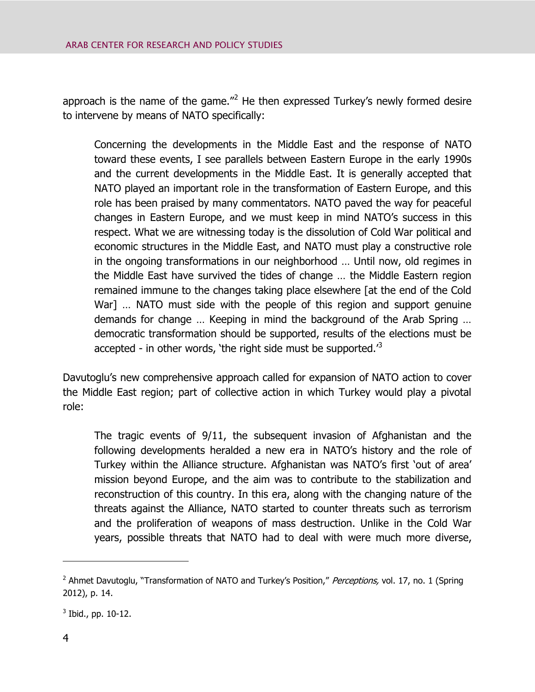approach is the name of the game."<sup>2</sup> He then expressed Turkey's newly formed desire to intervene by means of NATO specifically:

Concerning the developments in the Middle East and the response of NATO toward these events, I see parallels between Eastern Europe in the early 1990s and the current developments in the Middle East. It is generally accepted that NATO played an important role in the transformation of Eastern Europe, and this role has been praised by many commentators. NATO paved the way for peaceful changes in Eastern Europe, and we must keep in mind NATO's success in this respect. What we are witnessing today is the dissolution of Cold War political and economic structures in the Middle East, and NATO must play a constructive role in the ongoing transformations in our neighborhood … Until now, old regimes in the Middle East have survived the tides of change … the Middle Eastern region remained immune to the changes taking place elsewhere [at the end of the Cold War] … NATO must side with the people of this region and support genuine demands for change … Keeping in mind the background of the Arab Spring … democratic transformation should be supported, results of the elections must be accepted - in other words, 'the right side must be supported. $3$ 

Davutoglu's new comprehensive approach called for expansion of NATO action to cover the Middle East region; part of collective action in which Turkey would play a pivotal role:

The tragic events of 9/11, the subsequent invasion of Afghanistan and the following developments heralded a new era in NATO's history and the role of Turkey within the Alliance structure. Afghanistan was NATO's first 'out of area' mission beyond Europe, and the aim was to contribute to the stabilization and reconstruction of this country. In this era, along with the changing nature of the threats against the Alliance, NATO started to counter threats such as terrorism and the proliferation of weapons of mass destruction. Unlike in the Cold War years, possible threats that NATO had to deal with were much more diverse,

<sup>&</sup>lt;sup>2</sup> Ahmet Davutoglu, "Transformation of NATO and Turkey's Position," Perceptions, vol. 17, no. 1 (Spring 2012), p. 14.

 $3$  Ibid., pp. 10-12.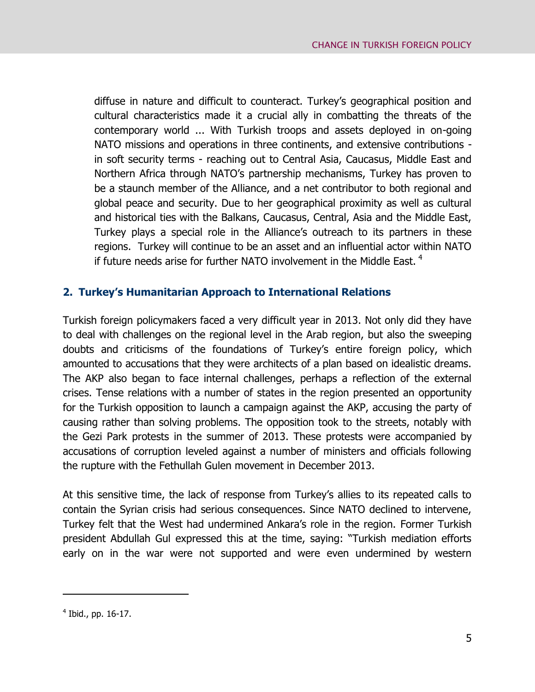diffuse in nature and difficult to counteract. Turkey's geographical position and cultural characteristics made it a crucial ally in combatting the threats of the contemporary world ... With Turkish troops and assets deployed in on-going NATO missions and operations in three continents, and extensive contributions in soft security terms - reaching out to Central Asia, Caucasus, Middle East and Northern Africa through NATO's partnership mechanisms, Turkey has proven to be a staunch member of the Alliance, and a net contributor to both regional and global peace and security. Due to her geographical proximity as well as cultural and historical ties with the Balkans, Caucasus, Central, Asia and the Middle East, Turkey plays a special role in the Alliance's outreach to its partners in these regions. Turkey will continue to be an asset and an influential actor within NATO if future needs arise for further NATO involvement in the Middle East.  $4$ 

## <span id="page-8-0"></span>**2. Turkey's Humanitarian Approach to International Relations**

Turkish foreign policymakers faced a very difficult year in 2013. Not only did they have to deal with challenges on the regional level in the Arab region, but also the sweeping doubts and criticisms of the foundations of Turkey's entire foreign policy, which amounted to accusations that they were architects of a plan based on idealistic dreams. The AKP also began to face internal challenges, perhaps a reflection of the external crises. Tense relations with a number of states in the region presented an opportunity for the Turkish opposition to launch a campaign against the AKP, accusing the party of causing rather than solving problems. The opposition took to the streets, notably with the Gezi Park protests in the summer of 2013. These protests were accompanied by accusations of corruption leveled against a number of ministers and officials following the rupture with the Fethullah Gulen movement in December 2013.

At this sensitive time, the lack of response from Turkey's allies to its repeated calls to contain the Syrian crisis had serious consequences. Since NATO declined to intervene, Turkey felt that the West had undermined Ankara's role in the region. Former Turkish president Abdullah Gul expressed this at the time, saying: "Turkish mediation efforts early on in the war were not supported and were even undermined by western

<sup>&</sup>lt;sup>4</sup> Ibid., pp. 16-17.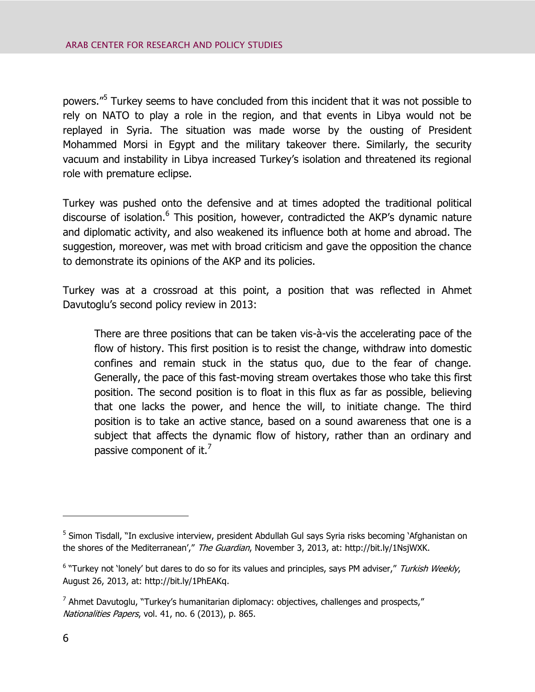powers."<sup>5</sup> Turkey seems to have concluded from this incident that it was not possible to rely on NATO to play a role in the region, and that events in Libya would not be replayed in Syria. The situation was made worse by the ousting of President Mohammed Morsi in Egypt and the military takeover there. Similarly, the security vacuum and instability in Libya increased Turkey's isolation and threatened its regional role with premature eclipse.

Turkey was pushed onto the defensive and at times adopted the traditional political discourse of isolation.<sup>6</sup> This position, however, contradicted the AKP's dynamic nature and diplomatic activity, and also weakened its influence both at home and abroad. The suggestion, moreover, was met with broad criticism and gave the opposition the chance to demonstrate its opinions of the AKP and its policies.

Turkey was at a crossroad at this point, a position that was reflected in Ahmet Davutoglu's second policy review in 2013:

There are three positions that can be taken vis-à-vis the accelerating pace of the flow of history. This first position is to resist the change, withdraw into domestic confines and remain stuck in the status quo, due to the fear of change. Generally, the pace of this fast-moving stream overtakes those who take this first position. The second position is to float in this flux as far as possible, believing that one lacks the power, and hence the will, to initiate change. The third position is to take an active stance, based on a sound awareness that one is a subject that affects the dynamic flow of history, rather than an ordinary and passive component of it. $^7$ 

<sup>&</sup>lt;sup>5</sup> Simon Tisdall, "In exclusive interview, president Abdullah Gul says Syria risks becoming `Afghanistan on the shores of the Mediterranean'," The Guardian, November 3, 2013, at: http://bit.ly/1NsjWXK.

<sup>&</sup>lt;sup>6</sup> "Turkey not 'lonely' but dares to do so for its values and principles, says PM adviser," Turkish Weekly, August 26, 2013, at: http://bit.ly/1PhEAKq.

<sup>&</sup>lt;sup>7</sup> Ahmet Davutoglu, "Turkey's humanitarian diplomacy: objectives, challenges and prospects," Nationalities Papers, vol. 41, no. 6 (2013), p. 865.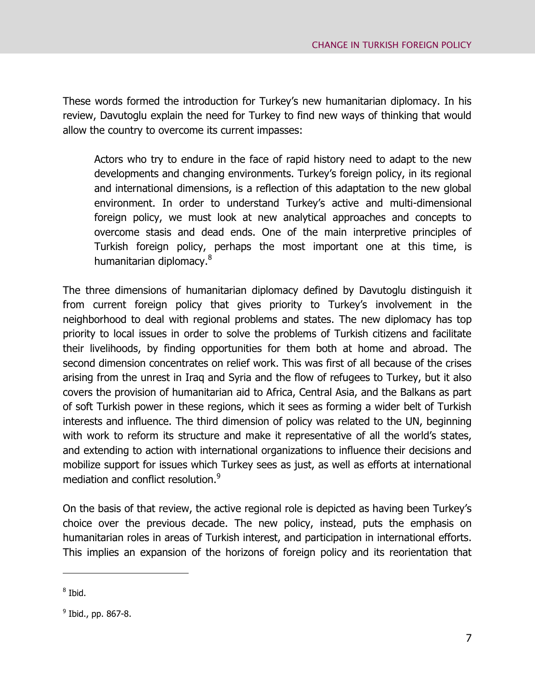These words formed the introduction for Turkey's new humanitarian diplomacy. In his review, Davutoglu explain the need for Turkey to find new ways of thinking that would allow the country to overcome its current impasses:

Actors who try to endure in the face of rapid history need to adapt to the new developments and changing environments. Turkey's foreign policy, in its regional and international dimensions, is a reflection of this adaptation to the new global environment. In order to understand Turkey's active and multi-dimensional foreign policy, we must look at new analytical approaches and concepts to overcome stasis and dead ends. One of the main interpretive principles of Turkish foreign policy, perhaps the most important one at this time, is humanitarian diplomacy.<sup>8</sup>

The three dimensions of humanitarian diplomacy defined by Davutoglu distinguish it from current foreign policy that gives priority to Turkey's involvement in the neighborhood to deal with regional problems and states. The new diplomacy has top priority to local issues in order to solve the problems of Turkish citizens and facilitate their livelihoods, by finding opportunities for them both at home and abroad. The second dimension concentrates on relief work. This was first of all because of the crises arising from the unrest in Iraq and Syria and the flow of refugees to Turkey, but it also covers the provision of humanitarian aid to Africa, Central Asia, and the Balkans as part of soft Turkish power in these regions, which it sees as forming a wider belt of Turkish interests and influence. The third dimension of policy was related to the UN, beginning with work to reform its structure and make it representative of all the world's states, and extending to action with international organizations to influence their decisions and mobilize support for issues which Turkey sees as just, as well as efforts at international mediation and conflict resolution.<sup>9</sup>

On the basis of that review, the active regional role is depicted as having been Turkey's choice over the previous decade. The new policy, instead, puts the emphasis on humanitarian roles in areas of Turkish interest, and participation in international efforts. This implies an expansion of the horizons of foreign policy and its reorientation that

<sup>&</sup>lt;sup>8</sup> Ibid.

<sup>&</sup>lt;sup>9</sup> Ibid., pp. 867-8.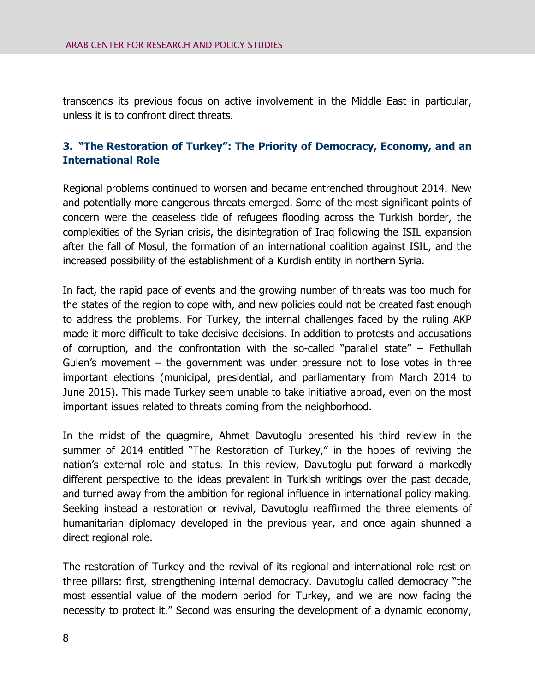transcends its previous focus on active involvement in the Middle East in particular, unless it is to confront direct threats.

## <span id="page-11-0"></span>**3. "The Restoration of Turkey": The Priority of Democracy, Economy, and an International Role**

Regional problems continued to worsen and became entrenched throughout 2014. New and potentially more dangerous threats emerged. Some of the most significant points of concern were the ceaseless tide of refugees flooding across the Turkish border, the complexities of the Syrian crisis, the disintegration of Iraq following the ISIL expansion after the fall of Mosul, the formation of an international coalition against ISIL, and the increased possibility of the establishment of a Kurdish entity in northern Syria.

In fact, the rapid pace of events and the growing number of threats was too much for the states of the region to cope with, and new policies could not be created fast enough to address the problems. For Turkey, the internal challenges faced by the ruling AKP made it more difficult to take decisive decisions. In addition to protests and accusations of corruption, and the confrontation with the so-called "parallel state" – Fethullah Gulen's movement – the government was under pressure not to lose votes in three important elections (municipal, presidential, and parliamentary from March 2014 to June 2015). This made Turkey seem unable to take initiative abroad, even on the most important issues related to threats coming from the neighborhood.

In the midst of the quagmire, Ahmet Davutoglu presented his third review in the summer of 2014 entitled "The Restoration of Turkey," in the hopes of reviving the nation's external role and status. In this review, Davutoglu put forward a markedly different perspective to the ideas prevalent in Turkish writings over the past decade, and turned away from the ambition for regional influence in international policy making. Seeking instead a restoration or revival, Davutoglu reaffirmed the three elements of humanitarian diplomacy developed in the previous year, and once again shunned a direct regional role.

The restoration of Turkey and the revival of its regional and international role rest on three pillars: first, strengthening internal democracy. Davutoglu called democracy "the most essential value of the modern period for Turkey, and we are now facing the necessity to protect it." Second was ensuring the development of a dynamic economy,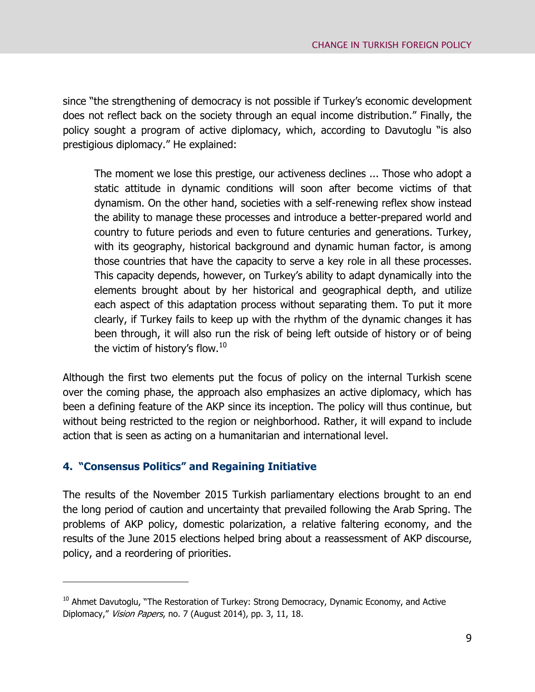since "the strengthening of democracy is not possible if Turkey's economic development does not reflect back on the society through an equal income distribution." Finally, the policy sought a program of active diplomacy, which, according to Davutoglu "is also prestigious diplomacy." He explained:

The moment we lose this prestige, our activeness declines ... Those who adopt a static attitude in dynamic conditions will soon after become victims of that dynamism. On the other hand, societies with a self-renewing reflex show instead the ability to manage these processes and introduce a better-prepared world and country to future periods and even to future centuries and generations. Turkey, with its geography, historical background and dynamic human factor, is among those countries that have the capacity to serve a key role in all these processes. This capacity depends, however, on Turkey's ability to adapt dynamically into the elements brought about by her historical and geographical depth, and utilize each aspect of this adaptation process without separating them. To put it more clearly, if Turkey fails to keep up with the rhythm of the dynamic changes it has been through, it will also run the risk of being left outside of history or of being the victim of history's flow.<sup>10</sup>

Although the first two elements put the focus of policy on the internal Turkish scene over the coming phase, the approach also emphasizes an active diplomacy, which has been a defining feature of the AKP since its inception. The policy will thus continue, but without being restricted to the region or neighborhood. Rather, it will expand to include action that is seen as acting on a humanitarian and international level.

#### <span id="page-12-0"></span>**4. "Consensus Politics" and Regaining Initiative**

 $\overline{a}$ 

The results of the November 2015 Turkish parliamentary elections brought to an end the long period of caution and uncertainty that prevailed following the Arab Spring. The problems of AKP policy, domestic polarization, a relative faltering economy, and the results of the June 2015 elections helped bring about a reassessment of AKP discourse, policy, and a reordering of priorities.

 $10$  Ahmet Davutoglu, "The Restoration of Turkey: Strong Democracy, Dynamic Economy, and Active Diplomacy," Vision Papers, no. 7 (August 2014), pp. 3, 11, 18.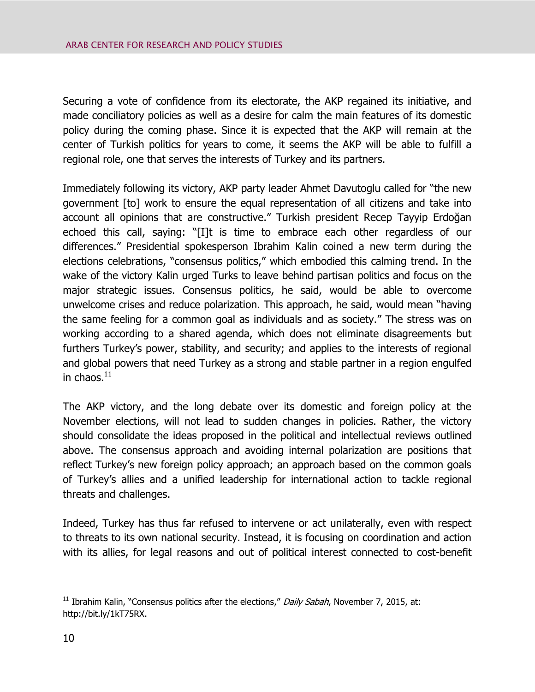Securing a vote of confidence from its electorate, the AKP regained its initiative, and made conciliatory policies as well as a desire for calm the main features of its domestic policy during the coming phase. Since it is expected that the AKP will remain at the center of Turkish politics for years to come, it seems the AKP will be able to fulfill a regional role, one that serves the interests of Turkey and its partners.

Immediately following its victory, AKP party leader Ahmet Davutoglu called for "the new government [to] work to ensure the equal representation of all citizens and take into account all opinions that are constructive." Turkish president Recep Tayyip Erdoğan echoed this call, saying: "[I]t is time to embrace each other regardless of our differences." Presidential spokesperson Ibrahim Kalin coined a new term during the elections celebrations, "consensus politics," which embodied this calming trend. In the wake of the victory Kalin urged Turks to leave behind partisan politics and focus on the major strategic issues. Consensus politics, he said, would be able to overcome unwelcome crises and reduce polarization. This approach, he said, would mean "having the same feeling for a common goal as individuals and as society." The stress was on working according to a shared agenda, which does not eliminate disagreements but furthers Turkey's power, stability, and security; and applies to the interests of regional and global powers that need Turkey as a strong and stable partner in a region engulfed in chaos. $^{11}$ 

The AKP victory, and the long debate over its domestic and foreign policy at the November elections, will not lead to sudden changes in policies. Rather, the victory should consolidate the ideas proposed in the political and intellectual reviews outlined above. The consensus approach and avoiding internal polarization are positions that reflect Turkey's new foreign policy approach; an approach based on the common goals of Turkey's allies and a unified leadership for international action to tackle regional threats and challenges.

Indeed, Turkey has thus far refused to intervene or act unilaterally, even with respect to threats to its own national security. Instead, it is focusing on coordination and action with its allies, for legal reasons and out of political interest connected to cost-benefit

<sup>&</sup>lt;sup>11</sup> Ibrahim Kalin, "Consensus politics after the elections," Daily Sabah, November 7, 2015, at: http://bit.ly/1kT75RX.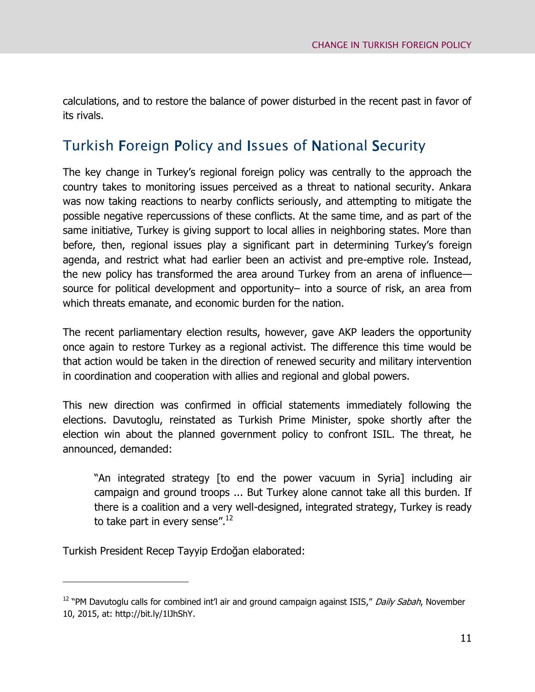calculations, and to restore the balance of power disturbed in the recent past in favor of its rivals.

# <span id="page-14-0"></span>Turkish Foreign Policy and Issues of National Security

The key change in Turkey's regional foreign policy was centrally to the approach the country takes to monitoring issues perceived as a threat to national security. Ankara was now taking reactions to nearby conflicts seriously, and attempting to mitigate the possible negative repercussions of these conflicts. At the same time, and as part of the same initiative, Turkey is giving support to local allies in neighboring states. More than before, then, regional issues play a significant part in determining Turkey's foreign agenda, and restrict what had earlier been an activist and pre-emptive role. Instead, the new policy has transformed the area around Turkey from an arena of influence source for political development and opportunity– into a source of risk, an area from which threats emanate, and economic burden for the nation.

The recent parliamentary election results, however, gave AKP leaders the opportunity once again to restore Turkey as a regional activist. The difference this time would be that action would be taken in the direction of renewed security and military intervention in coordination and cooperation with allies and regional and global powers.

This new direction was confirmed in official statements immediately following the elections. Davutoglu, reinstated as Turkish Prime Minister, spoke shortly after the election win about the planned government policy to confront ISIL. The threat, he announced, demanded:

"An integrated strategy [to end the power vacuum in Syria] including air campaign and ground troops ... But Turkey alone cannot take all this burden. If there is a coalition and a very well-designed, integrated strategy, Turkey is ready to take part in every sense".<sup>12</sup>

Turkish President Recep Tayyip Erdoğan elaborated:

<sup>&</sup>lt;sup>12</sup> "PM Davutoglu calls for combined int'l air and ground campaign against ISIS," *Daily Sabah*, November 10, 2015, at: http://bit.ly/1lJhShY.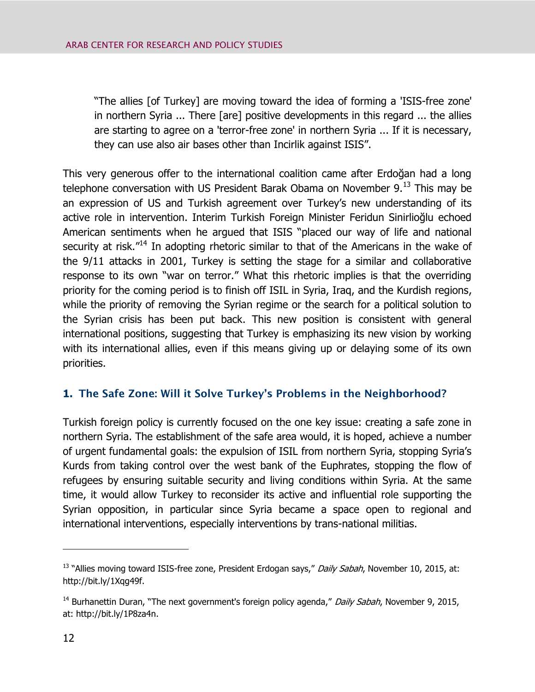"The allies [of Turkey] are moving toward the idea of forming a 'ISIS-free zone' in northern Syria ... There [are] positive developments in this regard ... the allies are starting to agree on a 'terror-free zone' in northern Syria ... If it is necessary, they can use also air bases other than Incirlik against ISIS".

This very generous offer to the international coalition came after Erdoğan had a long telephone conversation with US President Barak Obama on November  $9.13$  This may be an expression of US and Turkish agreement over Turkey's new understanding of its active role in intervention. Interim Turkish Foreign Minister Feridun Sinirlioğlu echoed American sentiments when he argued that ISIS "placed our way of life and national security at risk."<sup>14</sup> In adopting rhetoric similar to that of the Americans in the wake of the 9/11 attacks in 2001, Turkey is setting the stage for a similar and collaborative response to its own "war on terror." What this rhetoric implies is that the overriding priority for the coming period is to finish off ISIL in Syria, Iraq, and the Kurdish regions, while the priority of removing the Syrian regime or the search for a political solution to the Syrian crisis has been put back. This new position is consistent with general international positions, suggesting that Turkey is emphasizing its new vision by working with its international allies, even if this means giving up or delaying some of its own priorities.

### <span id="page-15-0"></span>**1. The Safe Zone: Will it Solve Turkey's Problems in the Neighborhood?**

Turkish foreign policy is currently focused on the one key issue: creating a safe zone in northern Syria. The establishment of the safe area would, it is hoped, achieve a number of urgent fundamental goals: the expulsion of ISIL from northern Syria, stopping Syria's Kurds from taking control over the west bank of the Euphrates, stopping the flow of refugees by ensuring suitable security and living conditions within Syria. At the same time, it would allow Turkey to reconsider its active and influential role supporting the Syrian opposition, in particular since Syria became a space open to regional and international interventions, especially interventions by trans-national militias.

<sup>&</sup>lt;sup>13</sup> "Allies moving toward ISIS-free zone, President Erdogan says," Daily Sabah, November 10, 2015, at: http://bit.ly/1Xqg49f.

<sup>&</sup>lt;sup>14</sup> Burhanettin Duran, "The next government's foreign policy agenda," *Daily Sabah*, November 9, 2015, at: http://bit.ly/1P8za4n.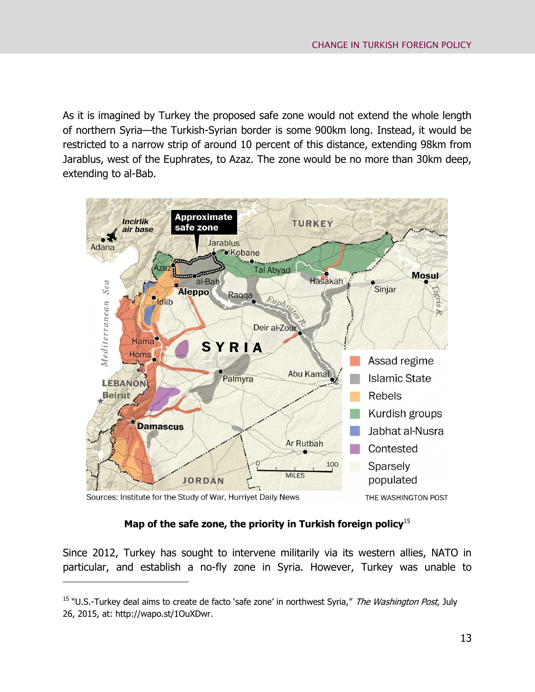As it is imagined by Turkey the proposed safe zone would not extend the whole length of northern Syria—the Turkish-Syrian border is some 900km long. Instead, it would be restricted to a narrow strip of around 10 percent of this distance, extending 98km from Jarablus, west of the Euphrates, to Azaz. The zone would be no more than 30km deep, extending to al-Bab.



Sources: Institute for the Study of War, Hurriyet Daily News

 $\overline{a}$ 

#### **Map of the safe zone, the priority in Turkish foreign policy**<sup>15</sup>

Since 2012, Turkey has sought to intervene militarily via its western allies, NATO in particular, and establish a no-fly zone in Syria. However, Turkey was unable to

<sup>&</sup>lt;sup>15</sup> "U.S.-Turkey deal aims to create de facto 'safe zone' in northwest Syria," The Washington Post, July 26, 2015, at: http://wapo.st/1OuXDwr.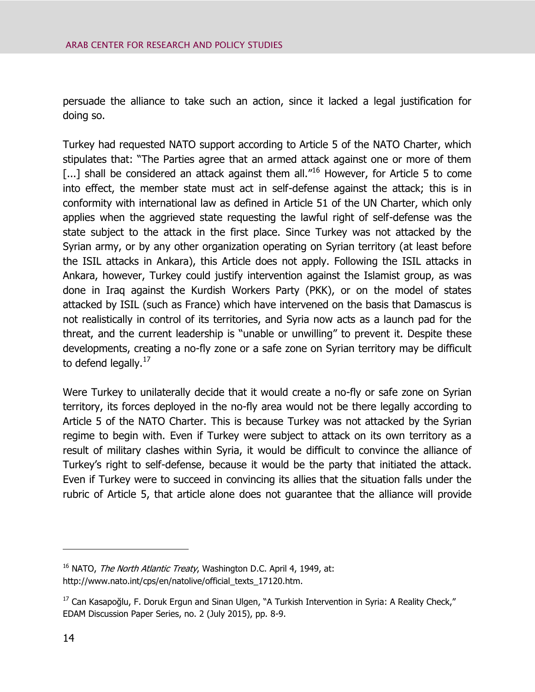persuade the alliance to take such an action, since it lacked a legal justification for doing so.

Turkey had requested NATO support according to Article 5 of the NATO Charter, which stipulates that: "The Parties agree that an armed attack against one or more of them  $\left[ \ldots \right]$  shall be considered an attack against them all.<sup>"16</sup> However, for Article 5 to come into effect, the member state must act in self-defense against the attack; this is in conformity with international law as defined in Article 51 of the UN Charter, which only applies when the aggrieved state requesting the lawful right of self-defense was the state subject to the attack in the first place. Since Turkey was not attacked by the Syrian army, or by any other organization operating on Syrian territory (at least before the ISIL attacks in Ankara), this Article does not apply. Following the ISIL attacks in Ankara, however, Turkey could justify intervention against the Islamist group, as was done in Iraq against the Kurdish Workers Party (PKK), or on the model of states attacked by ISIL (such as France) which have intervened on the basis that Damascus is not realistically in control of its territories, and Syria now acts as a launch pad for the threat, and the current leadership is "unable or unwilling" to prevent it. Despite these developments, creating a no-fly zone or a safe zone on Syrian territory may be difficult to defend legally.<sup>17</sup>

Were Turkey to unilaterally decide that it would create a no-fly or safe zone on Syrian territory, its forces deployed in the no-fly area would not be there legally according to Article 5 of the NATO Charter. This is because Turkey was not attacked by the Syrian regime to begin with. Even if Turkey were subject to attack on its own territory as a result of military clashes within Syria, it would be difficult to convince the alliance of Turkey's right to self-defense, because it would be the party that initiated the attack. Even if Turkey were to succeed in convincing its allies that the situation falls under the rubric of Article 5, that article alone does not guarantee that the alliance will provide

 $16$  NATO, *The North Atlantic Treaty*, Washington D.C. April 4, 1949, at: http://www.nato.int/cps/en/natolive/official\_texts\_17120.htm.

<sup>&</sup>lt;sup>17</sup> Can Kasapoğlu, F. Doruk Ergun and Sinan Ulgen, "A Turkish Intervention in Syria: A Reality Check," EDAM Discussion Paper Series, no. 2 (July 2015), pp. 8-9.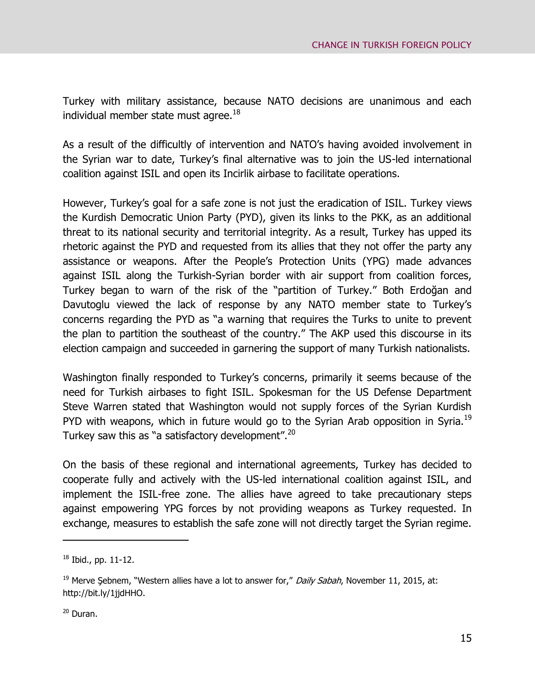Turkey with military assistance, because NATO decisions are unanimous and each individual member state must agree.<sup>18</sup>

As a result of the difficultly of intervention and NATO's having avoided involvement in the Syrian war to date, Turkey's final alternative was to join the US-led international coalition against ISIL and open its Incirlik airbase to facilitate operations.

However, Turkey's goal for a safe zone is not just the eradication of ISIL. Turkey views the Kurdish Democratic Union Party (PYD), given its links to the PKK, as an additional threat to its national security and territorial integrity. As a result, Turkey has upped its rhetoric against the PYD and requested from its allies that they not offer the party any assistance or weapons. After the People's Protection Units (YPG) made advances against ISIL along the Turkish-Syrian border with air support from coalition forces, Turkey began to warn of the risk of the "partition of Turkey." Both Erdoğan and Davutoglu viewed the lack of response by any NATO member state to Turkey's concerns regarding the PYD as "a warning that requires the Turks to unite to prevent the plan to partition the southeast of the country." The AKP used this discourse in its election campaign and succeeded in garnering the support of many Turkish nationalists.

Washington finally responded to Turkey's concerns, primarily it seems because of the need for Turkish airbases to fight ISIL. Spokesman for the US Defense Department Steve Warren stated that Washington would not supply forces of the Syrian Kurdish PYD with weapons, which in future would go to the Syrian Arab opposition in Syria.<sup>19</sup> Turkey saw this as "a satisfactory development".<sup>20</sup>

On the basis of these regional and international agreements, Turkey has decided to cooperate fully and actively with the US-led international coalition against ISIL, and implement the ISIL-free zone. The allies have agreed to take precautionary steps against empowering YPG forces by not providing weapons as Turkey requested. In exchange, measures to establish the safe zone will not directly target the Syrian regime.

 $18$  Ibid., pp. 11-12.

<sup>&</sup>lt;sup>19</sup> Merve Sebnem, "Western allies have a lot to answer for," Daily Sabah, November 11, 2015, at: http://bit.ly/1jjdHHO.

<sup>&</sup>lt;sup>20</sup> Duran.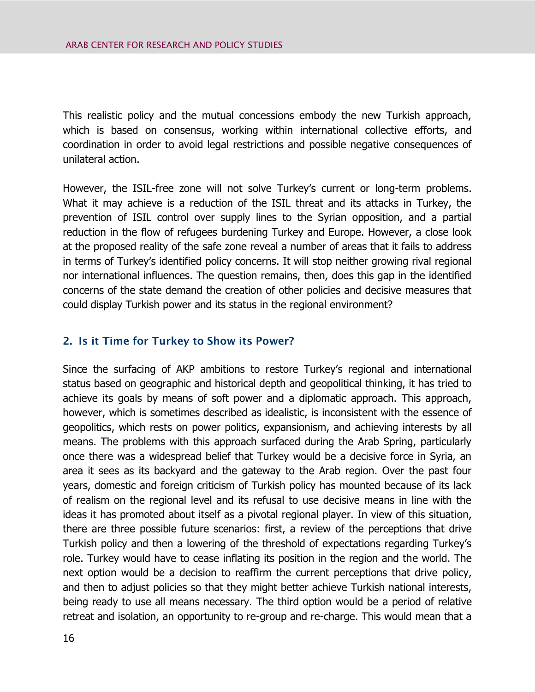This realistic policy and the mutual concessions embody the new Turkish approach, which is based on consensus, working within international collective efforts, and coordination in order to avoid legal restrictions and possible negative consequences of unilateral action.

However, the ISIL-free zone will not solve Turkey's current or long-term problems. What it may achieve is a reduction of the ISIL threat and its attacks in Turkey, the prevention of ISIL control over supply lines to the Syrian opposition, and a partial reduction in the flow of refugees burdening Turkey and Europe. However, a close look at the proposed reality of the safe zone reveal a number of areas that it fails to address in terms of Turkey's identified policy concerns. It will stop neither growing rival regional nor international influences. The question remains, then, does this gap in the identified concerns of the state demand the creation of other policies and decisive measures that could display Turkish power and its status in the regional environment?

#### <span id="page-19-0"></span>**2. Is it Time for Turkey to Show its Power?**

Since the surfacing of AKP ambitions to restore Turkey's regional and international status based on geographic and historical depth and geopolitical thinking, it has tried to achieve its goals by means of soft power and a diplomatic approach. This approach, however, which is sometimes described as idealistic, is inconsistent with the essence of geopolitics, which rests on power politics, expansionism, and achieving interests by all means. The problems with this approach surfaced during the Arab Spring, particularly once there was a widespread belief that Turkey would be a decisive force in Syria, an area it sees as its backyard and the gateway to the Arab region. Over the past four years, domestic and foreign criticism of Turkish policy has mounted because of its lack of realism on the regional level and its refusal to use decisive means in line with the ideas it has promoted about itself as a pivotal regional player. In view of this situation, there are three possible future scenarios: first, a review of the perceptions that drive Turkish policy and then a lowering of the threshold of expectations regarding Turkey's role. Turkey would have to cease inflating its position in the region and the world. The next option would be a decision to reaffirm the current perceptions that drive policy, and then to adjust policies so that they might better achieve Turkish national interests, being ready to use all means necessary. The third option would be a period of relative retreat and isolation, an opportunity to re-group and re-charge. This would mean that a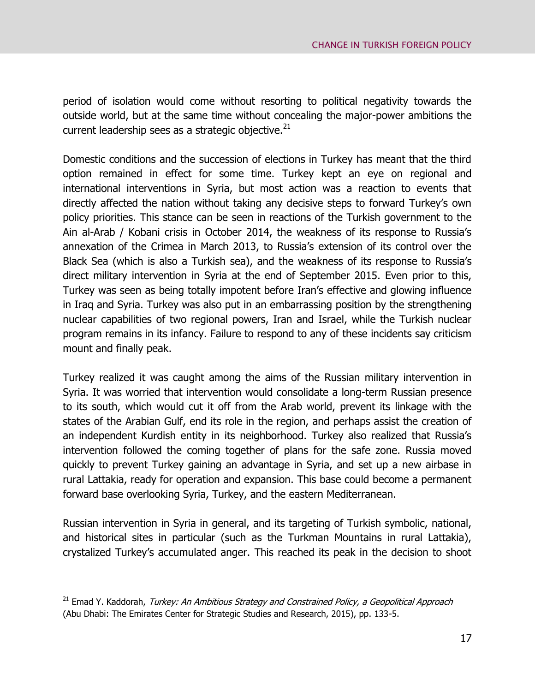period of isolation would come without resorting to political negativity towards the outside world, but at the same time without concealing the major-power ambitions the current leadership sees as a strategic objective. $^{21}$ 

Domestic conditions and the succession of elections in Turkey has meant that the third option remained in effect for some time. Turkey kept an eye on regional and international interventions in Syria, but most action was a reaction to events that directly affected the nation without taking any decisive steps to forward Turkey's own policy priorities. This stance can be seen in reactions of the Turkish government to the Ain al-Arab / Kobani crisis in October 2014, the weakness of its response to Russia's annexation of the Crimea in March 2013, to Russia's extension of its control over the Black Sea (which is also a Turkish sea), and the weakness of its response to Russia's direct military intervention in Syria at the end of September 2015. Even prior to this, Turkey was seen as being totally impotent before Iran's effective and glowing influence in Iraq and Syria. Turkey was also put in an embarrassing position by the strengthening nuclear capabilities of two regional powers, Iran and Israel, while the Turkish nuclear program remains in its infancy. Failure to respond to any of these incidents say criticism mount and finally peak.

Turkey realized it was caught among the aims of the Russian military intervention in Syria. It was worried that intervention would consolidate a long-term Russian presence to its south, which would cut it off from the Arab world, prevent its linkage with the states of the Arabian Gulf, end its role in the region, and perhaps assist the creation of an independent Kurdish entity in its neighborhood. Turkey also realized that Russia's intervention followed the coming together of plans for the safe zone. Russia moved quickly to prevent Turkey gaining an advantage in Syria, and set up a new airbase in rural Lattakia, ready for operation and expansion. This base could become a permanent forward base overlooking Syria, Turkey, and the eastern Mediterranean.

Russian intervention in Syria in general, and its targeting of Turkish symbolic, national, and historical sites in particular (such as the Turkman Mountains in rural Lattakia), crystalized Turkey's accumulated anger. This reached its peak in the decision to shoot

 $21$  Emad Y. Kaddorah, Turkey: An Ambitious Strategy and Constrained Policy, a Geopolitical Approach (Abu Dhabi: The Emirates Center for Strategic Studies and Research, 2015), pp. 133-5.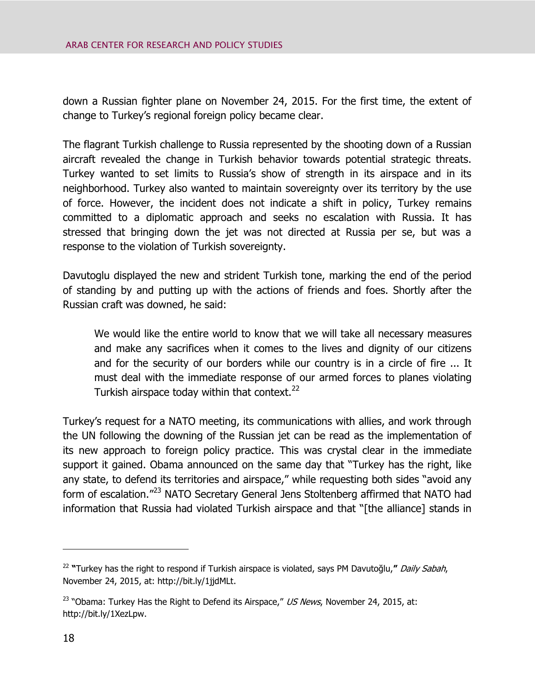down a Russian fighter plane on November 24, 2015. For the first time, the extent of change to Turkey's regional foreign policy became clear.

The flagrant Turkish challenge to Russia represented by the shooting down of a Russian aircraft revealed the change in Turkish behavior towards potential strategic threats. Turkey wanted to set limits to Russia's show of strength in its airspace and in its neighborhood. Turkey also wanted to maintain sovereignty over its territory by the use of force. However, the incident does not indicate a shift in policy, Turkey remains committed to a diplomatic approach and seeks no escalation with Russia. It has stressed that bringing down the jet was not directed at Russia per se, but was a response to the violation of Turkish sovereignty.

Davutoglu displayed the new and strident Turkish tone, marking the end of the period of standing by and putting up with the actions of friends and foes. Shortly after the Russian craft was downed, he said:

We would like the entire world to know that we will take all necessary measures and make any sacrifices when it comes to the lives and dignity of our citizens and for the security of our borders while our country is in a circle of fire ... It must deal with the immediate response of our armed forces to planes violating Turkish airspace today within that context.<sup>22</sup>

Turkey's request for a NATO meeting, its communications with allies, and work through the UN following the downing of the Russian jet can be read as the implementation of its new approach to foreign policy practice. This was crystal clear in the immediate support it gained. Obama announced on the same day that "Turkey has the right, like any state, to defend its territories and airspace," while requesting both sides "avoid any form of escalation."<sup>23</sup> NATO Secretary General Jens Stoltenberg affirmed that NATO had information that Russia had violated Turkish airspace and that "[the alliance] stands in

<sup>22</sup> **"**Turkey has the right to respond if Turkish airspace is violated, says PM Davutoğlu,**"** Daily Sabah, November 24, 2015, at: http://bit.ly/1jjdMLt.

<sup>&</sup>lt;sup>23</sup> "Obama: Turkey Has the Right to Defend its Airspace," US News, November 24, 2015, at: http://bit.ly/1XezLpw.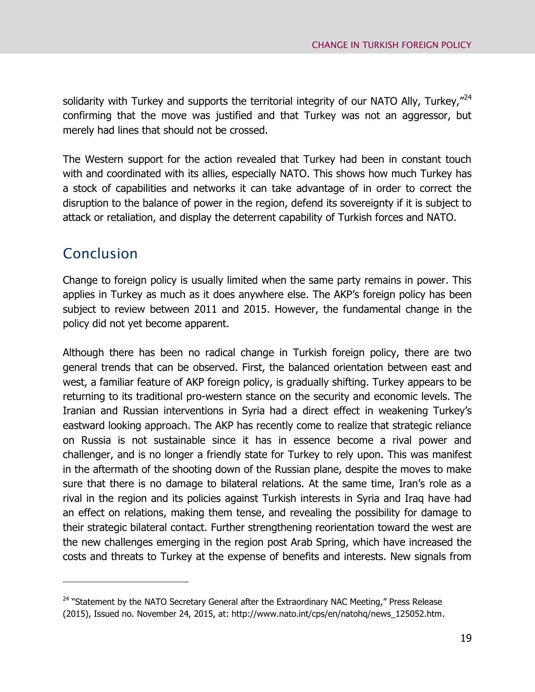solidarity with Turkey and supports the territorial integrity of our NATO Ally, Turkey, $^{724}$ confirming that the move was justified and that Turkey was not an aggressor, but merely had lines that should not be crossed.

The Western support for the action revealed that Turkey had been in constant touch with and coordinated with its allies, especially NATO. This shows how much Turkey has a stock of capabilities and networks it can take advantage of in order to correct the disruption to the balance of power in the region, defend its sovereignty if it is subject to attack or retaliation, and display the deterrent capability of Turkish forces and NATO.

# <span id="page-22-0"></span>Conclusion

 $\overline{a}$ 

Change to foreign policy is usually limited when the same party remains in power. This applies in Turkey as much as it does anywhere else. The AKP's foreign policy has been subject to review between 2011 and 2015. However, the fundamental change in the policy did not yet become apparent.

Although there has been no radical change in Turkish foreign policy, there are two general trends that can be observed. First, the balanced orientation between east and west, a familiar feature of AKP foreign policy, is gradually shifting. Turkey appears to be returning to its traditional pro-western stance on the security and economic levels. The Iranian and Russian interventions in Syria had a direct effect in weakening Turkey's eastward looking approach. The AKP has recently come to realize that strategic reliance on Russia is not sustainable since it has in essence become a rival power and challenger, and is no longer a friendly state for Turkey to rely upon. This was manifest in the aftermath of the shooting down of the Russian plane, despite the moves to make sure that there is no damage to bilateral relations. At the same time, Iran's role as a rival in the region and its policies against Turkish interests in Syria and Iraq have had an effect on relations, making them tense, and revealing the possibility for damage to their strategic bilateral contact. Further strengthening reorientation toward the west are the new challenges emerging in the region post Arab Spring, which have increased the costs and threats to Turkey at the expense of benefits and interests. New signals from

<sup>&</sup>lt;sup>24</sup> "Statement by the NATO Secretary General after the Extraordinary NAC Meeting," Press Release (2015), Issued no. November 24, 2015, at: http://www.nato.int/cps/en/natohq/news\_125052.htm.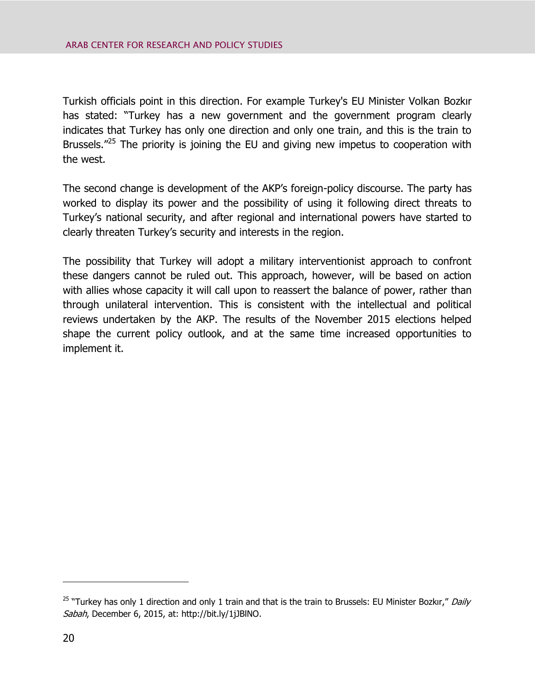Turkish officials point in this direction. For example Turkey's EU Minister Volkan Bozkır has stated: "Turkey has a new government and the government program clearly indicates that Turkey has only one direction and only one train, and this is the train to Brussels. $"^{25}$  The priority is joining the EU and giving new impetus to cooperation with the west.

The second change is development of the AKP's foreign-policy discourse. The party has worked to display its power and the possibility of using it following direct threats to Turkey's national security, and after regional and international powers have started to clearly threaten Turkey's security and interests in the region.

<span id="page-23-0"></span>The possibility that Turkey will adopt a military interventionist approach to confront these dangers cannot be ruled out. This approach, however, will be based on action with allies whose capacity it will call upon to reassert the balance of power, rather than through unilateral intervention. This is consistent with the intellectual and political reviews undertaken by the AKP. The results of the November 2015 elections helped shape the current policy outlook, and at the same time increased opportunities to implement it.

<sup>&</sup>lt;sup>25</sup> "Turkey has only 1 direction and only 1 train and that is the train to Brussels: EU Minister Bozkır," Daily Sabah, December 6, 2015, at: http://bit.ly/1jJBlNO.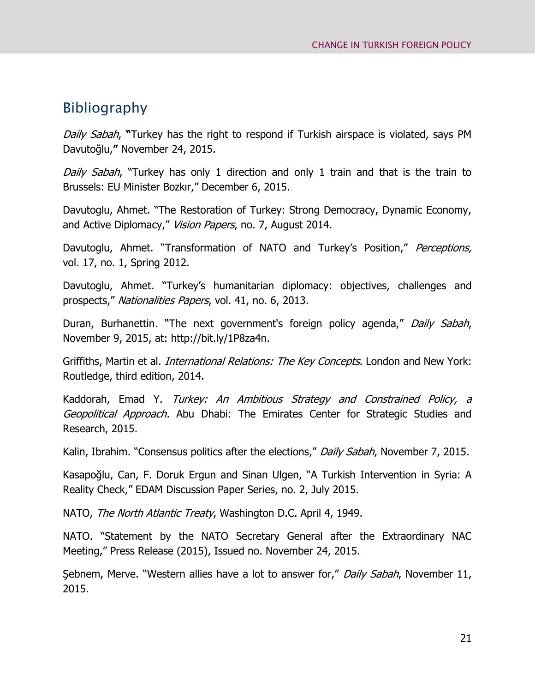## Bibliography

Daily Sabah, **"**Turkey has the right to respond if Turkish airspace is violated, says PM Davutoğlu,**"** November 24, 2015.

Daily Sabah, "Turkey has only 1 direction and only 1 train and that is the train to Brussels: EU Minister Bozkır," December 6, 2015.

Davutoglu, Ahmet. "The Restoration of Turkey: Strong Democracy, Dynamic Economy, and Active Diplomacy," Vision Papers, no. 7, August 2014.

Davutoglu, Ahmet. "Transformation of NATO and Turkey's Position," Perceptions, vol. 17, no. 1, Spring 2012.

Davutoglu, Ahmet. "Turkey's humanitarian diplomacy: objectives, challenges and prospects," Nationalities Papers, vol. 41, no. 6, 2013.

Duran, Burhanettin. "The next government's foreign policy agenda," Daily Sabah, November 9, 2015, at: http://bit.ly/1P8za4n.

Griffiths, Martin et al. *International Relations: The Key Concepts*. London and New York: Routledge, third edition, 2014.

Kaddorah, Emad Y. Turkey: An Ambitious Strategy and Constrained Policy, a Geopolitical Approach. Abu Dhabi: The Emirates Center for Strategic Studies and Research, 2015.

Kalin, Ibrahim. "Consensus politics after the elections," Daily Sabah, November 7, 2015.

Kasapoğlu, Can, F. Doruk Ergun and Sinan Ulgen, "A Turkish Intervention in Syria: A Reality Check," EDAM Discussion Paper Series, no. 2, July 2015.

NATO, The North Atlantic Treaty, Washington D.C. April 4, 1949.

NATO. "Statement by the NATO Secretary General after the Extraordinary NAC Meeting," Press Release (2015), Issued no. November 24, 2015.

Sebnem, Merve. "Western allies have a lot to answer for," Daily Sabah, November 11, 2015.